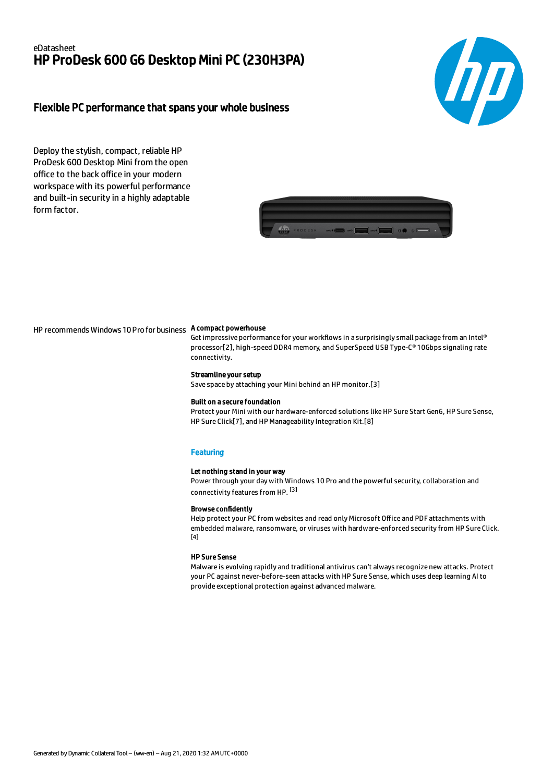## eDatasheet HP ProDesk 600 G6 Desktop Mini PC (230H3PA)



## Flexible PC performance that spans your whole business

Deploy the stylish, compact, reliable HP ProDesk 600 Desktop Mini from the open office to the back office in your modern workspace with its powerful performance and built-in security in a highly adaptable form factor.



HP recommends Windows 10 Pro for business A compact powerhouse

Get impressive performance for your workflows in a surprisingly small package from an Intel® processor[2], high-speed DDR4 memory, and SuperSpeed USB Type-C® 10Gbps signaling rate connectivity.

#### Streamline your setup

Save space by attaching your Mini behind an HP monitor.[3]

#### Built on a secure foundation

Protect your Mini with our hardware-enforced solutions like HP Sure Start Gen6, HP Sure Sense, HP Sure Click[7], and HP Manageability Integration Kit.[8]

#### **Featuring**

#### Let nothing stand in your way

Power through your day with Windows 10 Pro and the powerful security, collaboration and connectivity features from HP. [3]

#### Browse confidently

Help protect your PC from websites and read only Microsoft Office and PDF attachments with embedded malware, ransomware, or viruses with hardware-enforced security from HP Sure Click.  $[4]$ 

### HP Sure Sense

Malware is evolving rapidly and traditional antivirus can't always recognize new attacks. Protect your PC against never-before-seen attacks with HP Sure Sense, which uses deep learning AI to provide exceptional protection against advanced malware.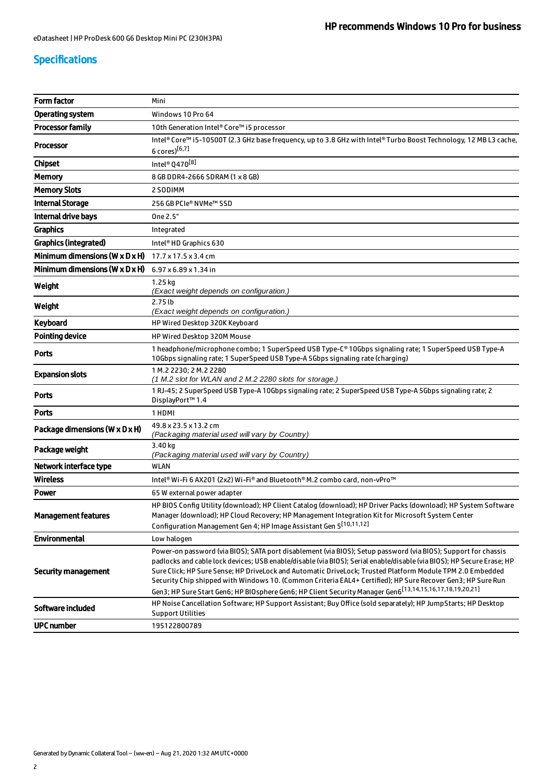# Specifications

| <b>Form factor</b>                           | Mini                                                                                                                                                                                                                                                                                                                                                                                                                                                                                                                                                                                        |  |
|----------------------------------------------|---------------------------------------------------------------------------------------------------------------------------------------------------------------------------------------------------------------------------------------------------------------------------------------------------------------------------------------------------------------------------------------------------------------------------------------------------------------------------------------------------------------------------------------------------------------------------------------------|--|
| Operating system                             | Windows 10 Pro 64                                                                                                                                                                                                                                                                                                                                                                                                                                                                                                                                                                           |  |
| <b>Processor family</b>                      | 10th Generation Intel® Core™ i5 processor                                                                                                                                                                                                                                                                                                                                                                                                                                                                                                                                                   |  |
| <b>Processor</b>                             | Intel® Core™ i5-10500T (2.3 GHz base frequency, up to 3.8 GHz with Intel® Turbo Boost Technology, 12 MB L3 cache,<br>6 cores)[6,7]                                                                                                                                                                                                                                                                                                                                                                                                                                                          |  |
| <b>Chipset</b>                               | Intel® Q470[8]                                                                                                                                                                                                                                                                                                                                                                                                                                                                                                                                                                              |  |
| <b>Memory</b>                                | 8 GB DDR4-2666 SDRAM (1 x 8 GB)                                                                                                                                                                                                                                                                                                                                                                                                                                                                                                                                                             |  |
| <b>Memory Slots</b>                          | 2 SODIMM                                                                                                                                                                                                                                                                                                                                                                                                                                                                                                                                                                                    |  |
| <b>Internal Storage</b>                      | 256 GB PCIe® NVMe™ SSD                                                                                                                                                                                                                                                                                                                                                                                                                                                                                                                                                                      |  |
| Internal drive bays                          | One 2.5"                                                                                                                                                                                                                                                                                                                                                                                                                                                                                                                                                                                    |  |
| <b>Graphics</b>                              | Integrated                                                                                                                                                                                                                                                                                                                                                                                                                                                                                                                                                                                  |  |
| Graphics (integrated)                        | Intel <sup>®</sup> HD Graphics 630                                                                                                                                                                                                                                                                                                                                                                                                                                                                                                                                                          |  |
| Minimum dimensions ( $W \times D \times H$ ) | $17.7 \times 17.5 \times 3.4$ cm                                                                                                                                                                                                                                                                                                                                                                                                                                                                                                                                                            |  |
| Minimum dimensions ( $W \times D \times H$ ) | $6.97 \times 6.89 \times 1.34$ in                                                                                                                                                                                                                                                                                                                                                                                                                                                                                                                                                           |  |
| Weight                                       | 1.25 kg<br>(Exact weight depends on configuration.)                                                                                                                                                                                                                                                                                                                                                                                                                                                                                                                                         |  |
| Weight                                       | $2.75$ lb<br>(Exact weight depends on configuration.)                                                                                                                                                                                                                                                                                                                                                                                                                                                                                                                                       |  |
| Keyboard                                     | HP Wired Desktop 320K Keyboard                                                                                                                                                                                                                                                                                                                                                                                                                                                                                                                                                              |  |
| <b>Pointing device</b>                       | <b>HP Wired Desktop 320M Mouse</b>                                                                                                                                                                                                                                                                                                                                                                                                                                                                                                                                                          |  |
| <b>Ports</b>                                 | 1 headphone/microphone combo; 1 SuperSpeed USB Type-C® 10Gbps signaling rate; 1 SuperSpeed USB Type-A<br>10Gbps signaling rate; 1 SuperSpeed USB Type-A 5Gbps signaling rate (charging)                                                                                                                                                                                                                                                                                                                                                                                                     |  |
| <b>Expansion slots</b>                       | 1 M.2 2230; 2 M.2 2280<br>(1 M.2 slot for WLAN and 2 M.2 2280 slots for storage.)                                                                                                                                                                                                                                                                                                                                                                                                                                                                                                           |  |
| <b>Ports</b>                                 | 1 RJ-45; 2 SuperSpeed USB Type-A 10Gbps signaling rate; 2 SuperSpeed USB Type-A 5Gbps signaling rate; 2<br>DisplayPort™ 1.4                                                                                                                                                                                                                                                                                                                                                                                                                                                                 |  |
| <b>Ports</b>                                 | 1 HDMI                                                                                                                                                                                                                                                                                                                                                                                                                                                                                                                                                                                      |  |
| Package dimensions (W x D x H)               | 49.8 x 23.5 x 13.2 cm<br>(Packaging material used will vary by Country)                                                                                                                                                                                                                                                                                                                                                                                                                                                                                                                     |  |
| Package weight                               | 3.40 kg<br>(Packaging material used will vary by Country)                                                                                                                                                                                                                                                                                                                                                                                                                                                                                                                                   |  |
| Network interface type                       | <b>WLAN</b>                                                                                                                                                                                                                                                                                                                                                                                                                                                                                                                                                                                 |  |
| <b>Wireless</b>                              | Intel® Wi-Fi 6 AX201 (2x2) Wi-Fi® and Bluetooth® M.2 combo card, non-vPro <sup>™</sup>                                                                                                                                                                                                                                                                                                                                                                                                                                                                                                      |  |
| Power                                        | 65 W external power adapter                                                                                                                                                                                                                                                                                                                                                                                                                                                                                                                                                                 |  |
| <b>Management features</b>                   | HP BIOS Config Utility (download); HP Client Catalog (download); HP Driver Packs (download); HP System Software<br>Manager (download); HP Cloud Recovery; HP Management Integration Kit for Microsoft System Center<br>Configuration Management Gen 4; HP Image Assistant Gen 5[10,11,12]                                                                                                                                                                                                                                                                                                   |  |
| <b>Environmental</b>                         | Low halogen                                                                                                                                                                                                                                                                                                                                                                                                                                                                                                                                                                                 |  |
| <b>Security management</b>                   | Power-on password (via BIOS); SATA port disablement (via BIOS); Setup password (via BIOS); Support for chassis<br>padlocks and cable lock devices; USB enable/disable (via BIOS); Serial enable/disable (via BIOS); HP Secure Erase; HP<br>Sure Click; HP Sure Sense; HP DriveLock and Automatic DriveLock; Trusted Platform Module TPM 2.0 Embedded<br>Security Chip shipped with Windows 10. (Common Criteria EAL4+ Certified); HP Sure Recover Gen3; HP Sure Run<br>Gen3; HP Sure Start Gen6; HP BIOsphere Gen6; HP Client Security Manager Gen6 <sup>[13,14,15,16,17,18,19,20,21]</sup> |  |
| Software included                            | HP Noise Cancellation Software; HP Support Assistant; Buy Office (sold separately); HP JumpStarts; HP Desktop<br><b>Support Utilities</b>                                                                                                                                                                                                                                                                                                                                                                                                                                                   |  |
| <b>UPC number</b>                            | 195122800789                                                                                                                                                                                                                                                                                                                                                                                                                                                                                                                                                                                |  |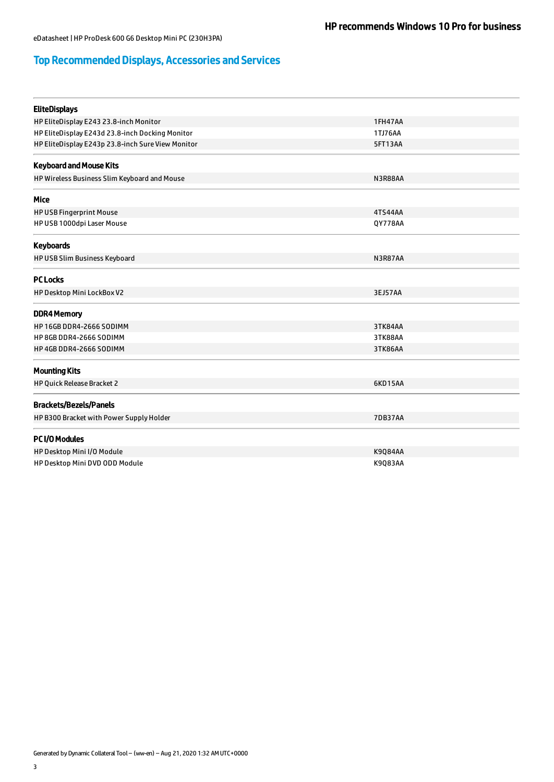# Top Recommended Displays, Accessories and Services

| <b>EliteDisplays</b>                              |                |  |
|---------------------------------------------------|----------------|--|
| HP EliteDisplay E243 23.8-inch Monitor            | <b>1FH47AA</b> |  |
| HP EliteDisplay E243d 23.8-inch Docking Monitor   | 1TJ76AA        |  |
| HP EliteDisplay E243p 23.8-inch Sure View Monitor | 5FT13AA        |  |
| <b>Keyboard and Mouse Kits</b>                    |                |  |
| HP Wireless Business Slim Keyboard and Mouse      | N3R88AA        |  |
| Mice                                              |                |  |
| <b>HP USB Fingerprint Mouse</b>                   | 4TS44AA        |  |
| HP USB 1000dpi Laser Mouse                        | QY778AA        |  |
| <b>Keyboards</b>                                  |                |  |
| HP USB Slim Business Keyboard                     | N3R87AA        |  |
| <b>PC Locks</b>                                   |                |  |
| HP Desktop Mini LockBox V2                        | 3EJ57AA        |  |
| <b>DDR4 Memory</b>                                |                |  |
| <b>HP 16GB DDR4-2666 SODIMM</b>                   | 3TK84AA        |  |
| HP 8GB DDR4-2666 SODIMM                           | 3TK88AA        |  |
| HP 4GB DDR4-2666 SODIMM                           | 3TK86AA        |  |
| <b>Mounting Kits</b>                              |                |  |
| HP Quick Release Bracket 2                        | 6KD15AA        |  |
| <b>Brackets/Bezels/Panels</b>                     |                |  |
| HP B300 Bracket with Power Supply Holder          | <b>7DB37AA</b> |  |
| PC I/O Modules                                    |                |  |
| HP Desktop Mini I/O Module                        | <b>K9Q84AA</b> |  |
| HP Desktop Mini DVD ODD Module                    | K9083AA        |  |